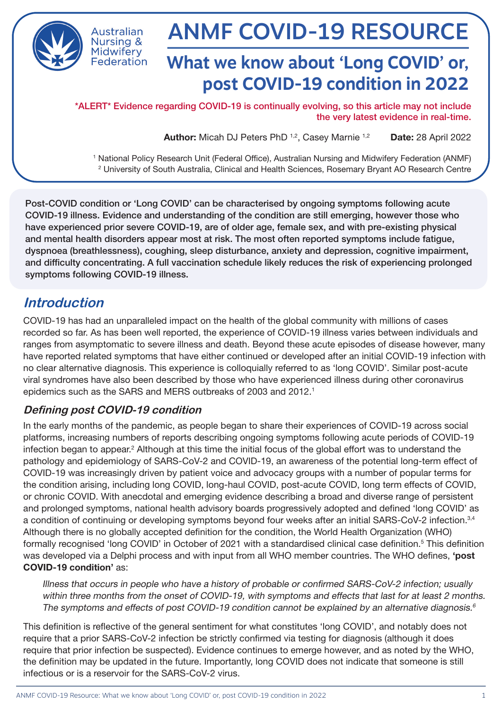

**Nursing & Midwifery** Federation

# ANMF COVID-19 RESOURCE

# **What we know about 'Long COVID' or, post COVID-19 condition in 2022**

\*ALERT\* Evidence regarding COVID-19 is continually evolving, so this article may not include the very latest evidence in real-time.

Author: Micah DJ Peters PhD<sup>1,2</sup>, Casey Marnie<sup>1,2</sup> Date: 28 April 2022

1 National Policy Research Unit (Federal Office), Australian Nursing and Midwifery Federation (ANMF) 2 University of South Australia, Clinical and Health Sciences, Rosemary Bryant AO Research Centre

Post-COVID condition or 'Long COVID' can be characterised by ongoing symptoms following acute COVID-19 illness. Evidence and understanding of the condition are still emerging, however those who have experienced prior severe COVID-19, are of older age, female sex, and with pre-existing physical and mental health disorders appear most at risk. The most often reported symptoms include fatigue, dyspnoea (breathlessness), coughing, sleep disturbance, anxiety and depression, cognitive impairment, and difficulty concentrating. A full vaccination schedule likely reduces the risk of experiencing prolonged symptoms following COVID-19 illness.

## **Introduction**

COVID-19 has had an unparalleled impact on the health of the global community with millions of cases recorded so far. As has been well reported, the experience of COVID-19 illness varies between individuals and ranges from asymptomatic to severe illness and death. Beyond these acute episodes of disease however, many have reported related symptoms that have either continued or developed after an initial COVID-19 infection with no clear alternative diagnosis. This experience is colloquially referred to as 'long COVID'. Similar post-acute viral syndromes have also been described by those who have experienced illness during other coronavirus epidemics such as the SARS and MERS outbreaks of 2003 and 2012.<sup>1</sup>

#### **Defining post COVID-19 condition**

In the early months of the pandemic, as people began to share their experiences of COVID-19 across social platforms, increasing numbers of reports describing ongoing symptoms following acute periods of COVID-19 infection began to appear.<sup>2</sup> Although at this time the initial focus of the global effort was to understand the pathology and epidemiology of SARS-CoV-2 and COVID-19, an awareness of the potential long-term effect of COVID-19 was increasingly driven by patient voice and advocacy groups with a number of popular terms for the condition arising, including long COVID, long-haul COVID, post-acute COVID, long term effects of COVID, or chronic COVID. With anecdotal and emerging evidence describing a broad and diverse range of persistent and prolonged symptoms, national health advisory boards progressively adopted and defined 'long COVID' as a condition of continuing or developing symptoms beyond four weeks after an initial SARS-CoV-2 infection.<sup>3,4</sup> Although there is no globally accepted definition for the condition, the World Health Organization (WHO) formally recognised 'long COVID' in October of 2021 with a standardised clinical case definition.<sup>5</sup> This definition was developed via a Delphi process and with input from all WHO member countries. The WHO defines, 'post COVID-19 condition' as:

Illness that occurs in people who have a history of probable or confirmed SARS-CoV-2 infection; usually within three months from the onset of COVID-19, with symptoms and effects that last for at least 2 months. The symptoms and effects of post COVID-19 condition cannot be explained by an alternative diagnosis.<sup>6</sup>

This definition is reflective of the general sentiment for what constitutes 'long COVID', and notably does not require that a prior SARS-CoV-2 infection be strictly confirmed via testing for diagnosis (although it does require that prior infection be suspected). Evidence continues to emerge however, and as noted by the WHO, the definition may be updated in the future. Importantly, long COVID does not indicate that someone is still infectious or is a reservoir for the SARS-CoV-2 virus.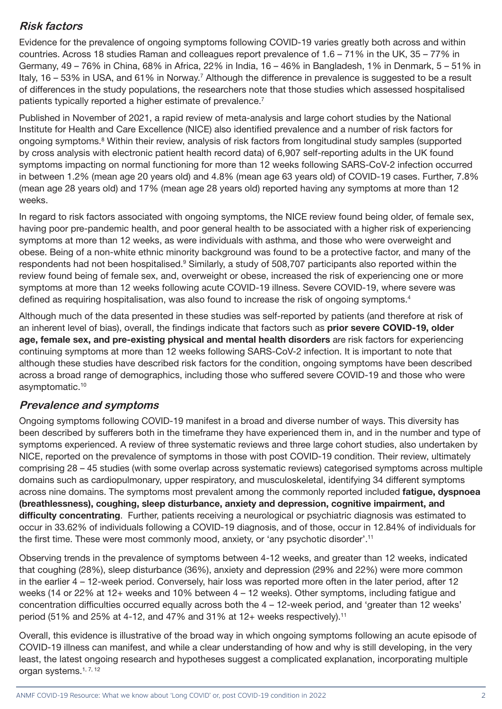#### **Risk factors**

Evidence for the prevalence of ongoing symptoms following COVID-19 varies greatly both across and within countries. Across 18 studies Raman and colleagues report prevalence of 1.6 – 71% in the UK, 35 – 77% in Germany, 49 – 76% in China, 68% in Africa, 22% in India, 16 – 46% in Bangladesh, 1% in Denmark, 5 – 51% in Italy, 16 – 53% in USA, and 61% in Norway.<sup>7</sup> Although the difference in prevalence is suggested to be a result of differences in the study populations, the researchers note that those studies which assessed hospitalised patients typically reported a higher estimate of prevalence.<sup>7</sup>

Published in November of 2021, a rapid review of meta-analysis and large cohort studies by the National Institute for Health and Care Excellence (NICE) also identified prevalence and a number of risk factors for ongoing symptoms.<sup>8</sup> Within their review, analysis of risk factors from longitudinal study samples (supported by cross analysis with electronic patient health record data) of 6,907 self-reporting adults in the UK found symptoms impacting on normal functioning for more than 12 weeks following SARS-CoV-2 infection occurred in between 1.2% (mean age 20 years old) and 4.8% (mean age 63 years old) of COVID-19 cases. Further, 7.8% (mean age 28 years old) and 17% (mean age 28 years old) reported having any symptoms at more than 12 weeks.

In regard to risk factors associated with ongoing symptoms, the NICE review found being older, of female sex, having poor pre-pandemic health, and poor general health to be associated with a higher risk of experiencing symptoms at more than 12 weeks, as were individuals with asthma, and those who were overweight and obese. Being of a non-white ethnic minority background was found to be a protective factor, and many of the respondents had not been hospitalised.<sup>9</sup> Similarly, a study of 508,707 participants also reported within the review found being of female sex, and, overweight or obese, increased the risk of experiencing one or more symptoms at more than 12 weeks following acute COVID-19 illness. Severe COVID-19, where severe was defined as requiring hospitalisation, was also found to increase the risk of ongoing symptoms.<sup>4</sup>

Although much of the data presented in these studies was self-reported by patients (and therefore at risk of an inherent level of bias), overall, the findings indicate that factors such as **prior severe COVID-19, older** age, female sex, and pre-existing physical and mental health disorders are risk factors for experiencing continuing symptoms at more than 12 weeks following SARS-CoV-2 infection. It is important to note that although these studies have described risk factors for the condition, ongoing symptoms have been described across a broad range of demographics, including those who suffered severe COVID-19 and those who were asymptomatic.10

#### **Prevalence and symptoms**

Ongoing symptoms following COVID-19 manifest in a broad and diverse number of ways. This diversity has been described by sufferers both in the timeframe they have experienced them in, and in the number and type of symptoms experienced. A review of three systematic reviews and three large cohort studies, also undertaken by NICE, reported on the prevalence of symptoms in those with post COVID-19 condition. Their review, ultimately comprising 28 – 45 studies (with some overlap across systematic reviews) categorised symptoms across multiple domains such as cardiopulmonary, upper respiratory, and musculoskeletal, identifying 34 different symptoms across nine domains. The symptoms most prevalent among the commonly reported included fatigue, dyspnoea (breathlessness), coughing, sleep disturbance, anxiety and depression, cognitive impairment, and difficulty concentrating. Further, patients receiving a neurological or psychiatric diagnosis was estimated to occur in 33.62% of individuals following a COVID-19 diagnosis, and of those, occur in 12.84% of individuals for the first time. These were most commonly mood, anxiety, or 'any psychotic disorder'.11

Observing trends in the prevalence of symptoms between 4-12 weeks, and greater than 12 weeks, indicated that coughing (28%), sleep disturbance (36%), anxiety and depression (29% and 22%) were more common in the earlier 4 – 12-week period. Conversely, hair loss was reported more often in the later period, after 12 weeks (14 or 22% at 12+ weeks and 10% between 4 – 12 weeks). Other symptoms, including fatigue and concentration difficulties occurred equally across both the 4 – 12-week period, and 'greater than 12 weeks' period (51% and 25% at 4-12, and 47% and 31% at 12+ weeks respectively).11

Overall, this evidence is illustrative of the broad way in which ongoing symptoms following an acute episode of COVID-19 illness can manifest, and while a clear understanding of how and why is still developing, in the very least, the latest ongoing research and hypotheses suggest a complicated explanation, incorporating multiple organ systems.<sup>1, 7, 12</sup>